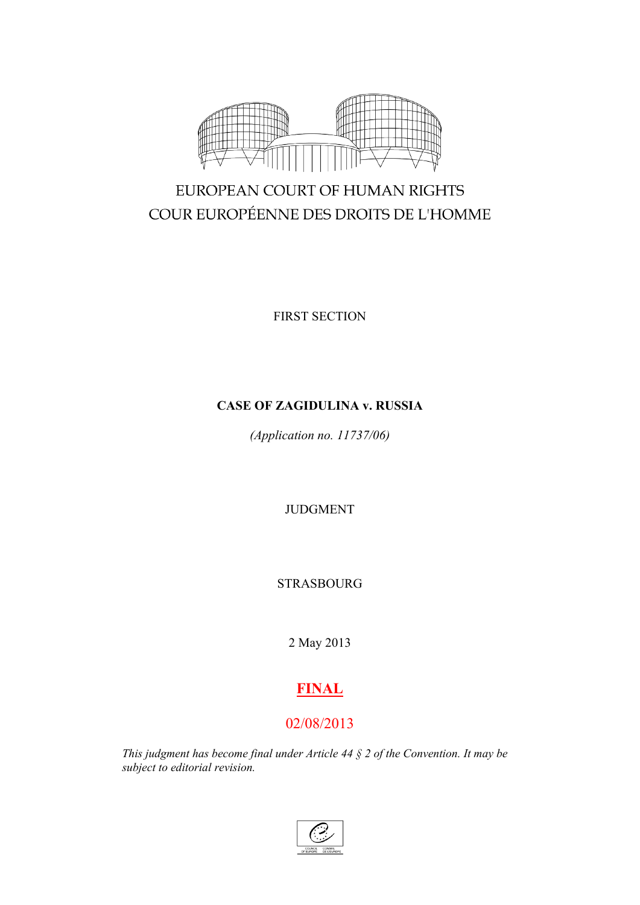

# EUROPEAN COURT OF HUMAN RIGHTS COUR EUROPÉENNE DES DROITS DE L'HOMME

FIRST SECTION

# **CASE OF ZAGIDULINA v. RUSSIA**

*(Application no. 11737/06)*

JUDGMENT

STRASBOURG

2 May 2013

# **FINAL**

# 02/08/2013

*This judgment has become final under Article 44 § 2 of the Convention. It may be subject to editorial revision.*

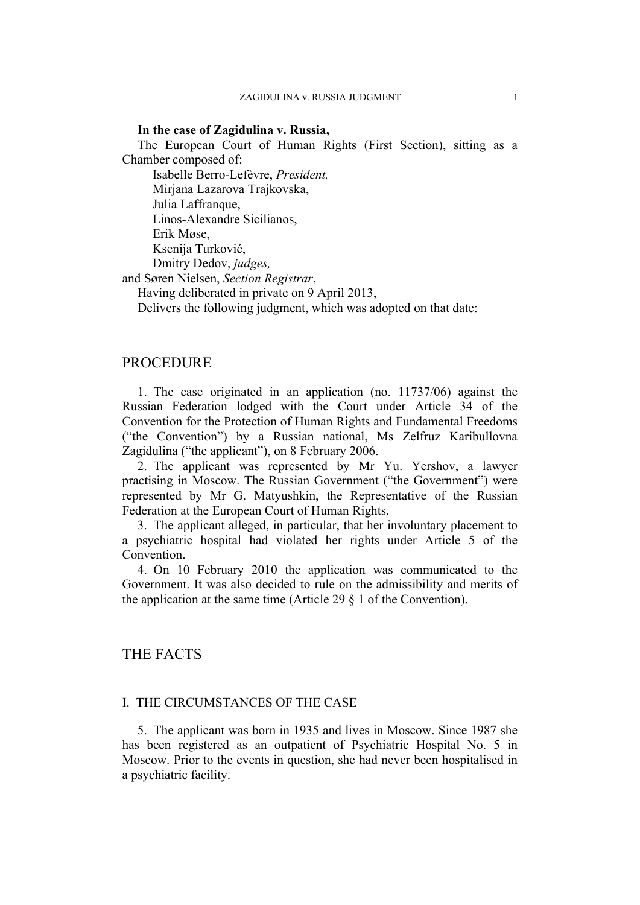# **In the case of Zagidulina v. Russia,**

The European Court of Human Rights (First Section), sitting as a Chamber composed of:

Isabelle Berro-Lefèvre, *President,* Mirjana Lazarova Trajkovska, Julia Laffranque, Linos-Alexandre Sicilianos, Erik Møse, Ksenija Turković, Dmitry Dedov, *judges,*

and Søren Nielsen, *Section Registrar*,

Having deliberated in private on 9 April 2013,

Delivers the following judgment, which was adopted on that date:

# **PROCEDURE**

1. The case originated in an application (no. 11737/06) against the Russian Federation lodged with the Court under Article 34 of the Convention for the Protection of Human Rights and Fundamental Freedoms ("the Convention") by a Russian national, Ms Zelfruz Karibullovna Zagidulina ("the applicant"), on 8 February 2006.

2. The applicant was represented by Mr Yu. Yershov, a lawyer practising in Moscow. The Russian Government ("the Government") were represented by Mr G. Matyushkin, the Representative of the Russian Federation at the European Court of Human Rights.

3. The applicant alleged, in particular, that her involuntary placement to a psychiatric hospital had violated her rights under Article 5 of the Convention.

4. On 10 February 2010 the application was communicated to the Government. It was also decided to rule on the admissibility and merits of the application at the same time (Article 29 § 1 of the Convention).

# THE FACTS

## I. THE CIRCUMSTANCES OF THE CASE

5. The applicant was born in 1935 and lives in Moscow. Since 1987 she has been registered as an outpatient of Psychiatric Hospital No. 5 in Moscow. Prior to the events in question, she had never been hospitalised in a psychiatric facility.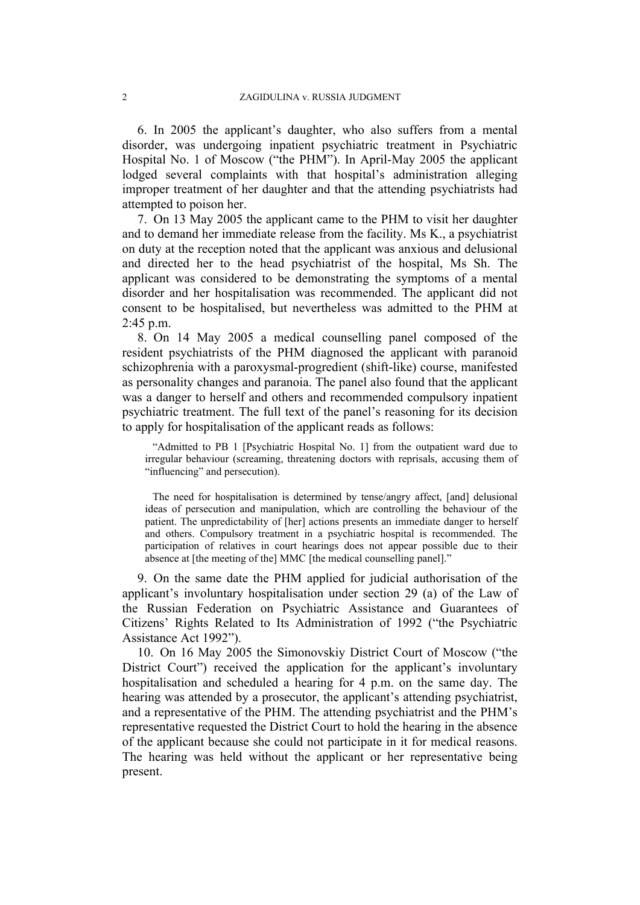6. In 2005 the applicant's daughter, who also suffers from a mental disorder, was undergoing inpatient psychiatric treatment in Psychiatric Hospital No. 1 of Moscow ("the PHM"). In April-May 2005 the applicant lodged several complaints with that hospital's administration alleging improper treatment of her daughter and that the attending psychiatrists had attempted to poison her.

7. On 13 May 2005 the applicant came to the PHM to visit her daughter and to demand her immediate release from the facility. Ms K., a psychiatrist on duty at the reception noted that the applicant was anxious and delusional and directed her to the head psychiatrist of the hospital, Ms Sh. The applicant was considered to be demonstrating the symptoms of a mental disorder and her hospitalisation was recommended. The applicant did not consent to be hospitalised, but nevertheless was admitted to the PHM at 2:45 p.m.

8. On 14 May 2005 a medical counselling panel composed of the resident psychiatrists of the PHM diagnosed the applicant with paranoid schizophrenia with a paroxysmal-progredient (shift-like) course, manifested as personality changes and paranoia. The panel also found that the applicant was a danger to herself and others and recommended compulsory inpatient psychiatric treatment. The full text of the panel's reasoning for its decision to apply for hospitalisation of the applicant reads as follows:

"Admitted to PB 1 [Psychiatric Hospital No. 1] from the outpatient ward due to irregular behaviour (screaming, threatening doctors with reprisals, accusing them of "influencing" and persecution).

The need for hospitalisation is determined by tense/angry affect, [and] delusional ideas of persecution and manipulation, which are controlling the behaviour of the patient. The unpredictability of [her] actions presents an immediate danger to herself and others. Compulsory treatment in a psychiatric hospital is recommended. The participation of relatives in court hearings does not appear possible due to their absence at [the meeting of the] MMC [the medical counselling panel]."

9. On the same date the PHM applied for judicial authorisation of the applicant's involuntary hospitalisation under section 29 (a) of the Law of the Russian Federation on Psychiatric Assistance and Guarantees of Citizens' Rights Related to Its Administration of 1992 ("the Psychiatric Assistance Act 1992").

10. On 16 May 2005 the Simonovskiy District Court of Moscow ("the District Court") received the application for the applicant's involuntary hospitalisation and scheduled a hearing for 4 p.m. on the same day. The hearing was attended by a prosecutor, the applicant's attending psychiatrist, and a representative of the PHM. The attending psychiatrist and the PHM's representative requested the District Court to hold the hearing in the absence of the applicant because she could not participate in it for medical reasons. The hearing was held without the applicant or her representative being present.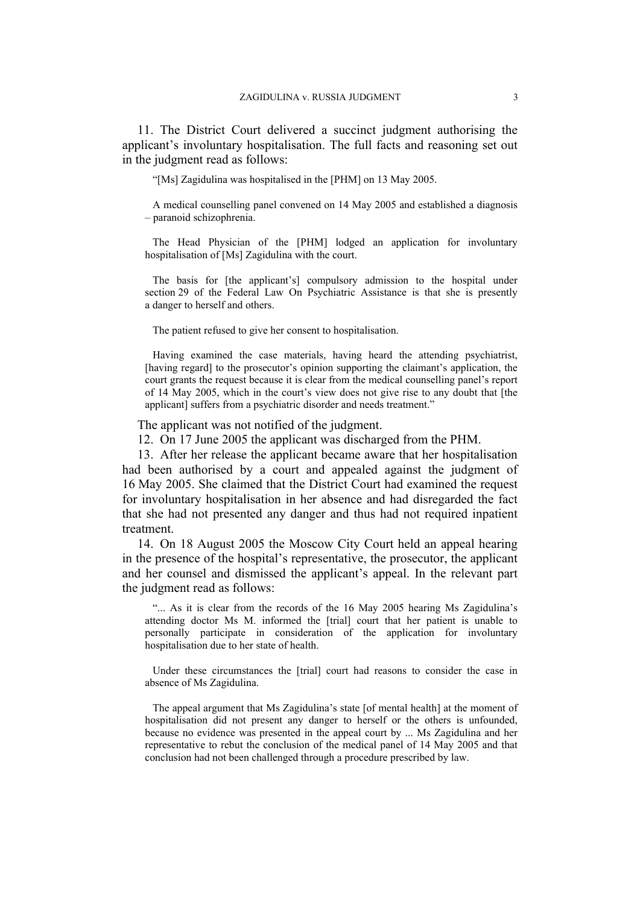11. The District Court delivered a succinct judgment authorising the applicant's involuntary hospitalisation. The full facts and reasoning set out in the judgment read as follows:

"[Ms] Zagidulina was hospitalised in the [PHM] on 13 May 2005.

A medical counselling panel convened on 14 May 2005 and established a diagnosis – paranoid schizophrenia.

The Head Physician of the [PHM] lodged an application for involuntary hospitalisation of [Ms] Zagidulina with the court.

The basis for [the applicant's] compulsory admission to the hospital under section 29 of the Federal Law On Psychiatric Assistance is that she is presently a danger to herself and others.

The patient refused to give her consent to hospitalisation.

Having examined the case materials, having heard the attending psychiatrist, [having regard] to the prosecutor's opinion supporting the claimant's application, the court grants the request because it is clear from the medical counselling panel's report of 14 May 2005, which in the court's view does not give rise to any doubt that [the applicant] suffers from a psychiatric disorder and needs treatment."

The applicant was not notified of the judgment.

12. On 17 June 2005 the applicant was discharged from the PHM.

13. After her release the applicant became aware that her hospitalisation had been authorised by a court and appealed against the judgment of 16 May 2005. She claimed that the District Court had examined the request for involuntary hospitalisation in her absence and had disregarded the fact that she had not presented any danger and thus had not required inpatient treatment.

14. On 18 August 2005 the Moscow City Court held an appeal hearing in the presence of the hospital's representative, the prosecutor, the applicant and her counsel and dismissed the applicant's appeal. In the relevant part the judgment read as follows:

"... As it is clear from the records of the 16 May 2005 hearing Ms Zagidulina's attending doctor Ms M. informed the [trial] court that her patient is unable to personally participate in consideration of the application for involuntary hospitalisation due to her state of health.

Under these circumstances the [trial] court had reasons to consider the case in absence of Ms Zagidulina.

The appeal argument that Ms Zagidulina's state [of mental health] at the moment of hospitalisation did not present any danger to herself or the others is unfounded, because no evidence was presented in the appeal court by ... Ms Zagidulina and her representative to rebut the conclusion of the medical panel of 14 May 2005 and that conclusion had not been challenged through a procedure prescribed by law.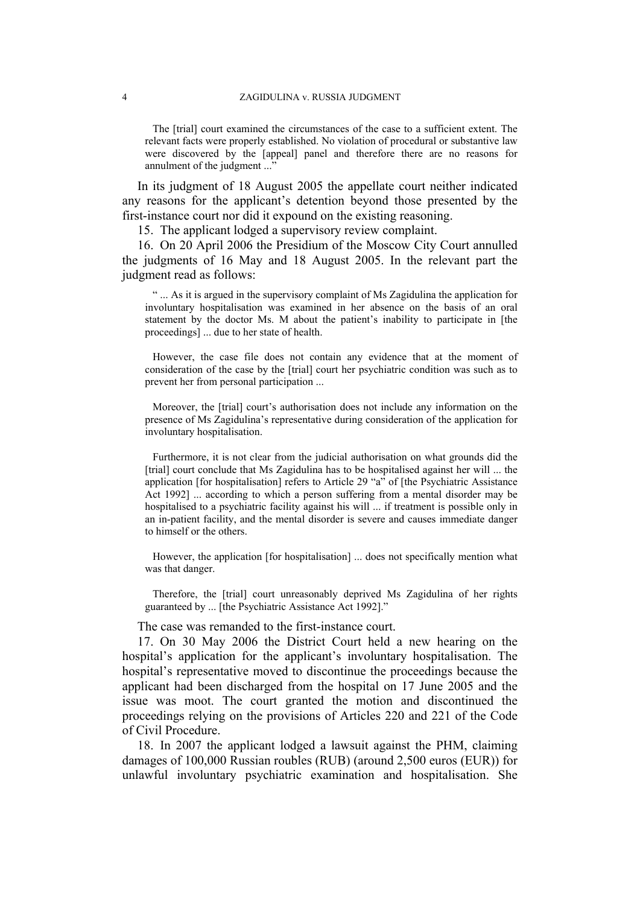The [trial] court examined the circumstances of the case to a sufficient extent. The relevant facts were properly established. No violation of procedural or substantive law were discovered by the [appeal] panel and therefore there are no reasons for annulment of the judgment ..."

In its judgment of 18 August 2005 the appellate court neither indicated any reasons for the applicant's detention beyond those presented by the first-instance court nor did it expound on the existing reasoning.

15. The applicant lodged a supervisory review complaint.

16. On 20 April 2006 the Presidium of the Moscow City Court annulled the judgments of 16 May and 18 August 2005. In the relevant part the judgment read as follows:

" ... As it is argued in the supervisory complaint of Ms Zagidulina the application for involuntary hospitalisation was examined in her absence on the basis of an oral statement by the doctor Ms. M about the patient's inability to participate in [the proceedings] ... due to her state of health.

However, the case file does not contain any evidence that at the moment of consideration of the case by the [trial] court her psychiatric condition was such as to prevent her from personal participation ...

Moreover, the [trial] court's authorisation does not include any information on the presence of Ms Zagidulina's representative during consideration of the application for involuntary hospitalisation.

Furthermore, it is not clear from the judicial authorisation on what grounds did the [trial] court conclude that Ms Zagidulina has to be hospitalised against her will ... the application [for hospitalisation] refers to Article 29 "a" of [the Psychiatric Assistance Act 1992] ... according to which a person suffering from a mental disorder may be hospitalised to a psychiatric facility against his will ... if treatment is possible only in an in-patient facility, and the mental disorder is severe and causes immediate danger to himself or the others.

However, the application [for hospitalisation] ... does not specifically mention what was that danger.

Therefore, the [trial] court unreasonably deprived Ms Zagidulina of her rights guaranteed by ... [the Psychiatric Assistance Act 1992]."

The case was remanded to the first-instance court.

17. On 30 May 2006 the District Court held a new hearing on the hospital's application for the applicant's involuntary hospitalisation. The hospital's representative moved to discontinue the proceedings because the applicant had been discharged from the hospital on 17 June 2005 and the issue was moot. The court granted the motion and discontinued the proceedings relying on the provisions of Articles 220 and 221 of the Code of Civil Procedure.

18. In 2007 the applicant lodged a lawsuit against the PHM, claiming damages of 100,000 Russian roubles (RUB) (around 2,500 euros (EUR)) for unlawful involuntary psychiatric examination and hospitalisation. She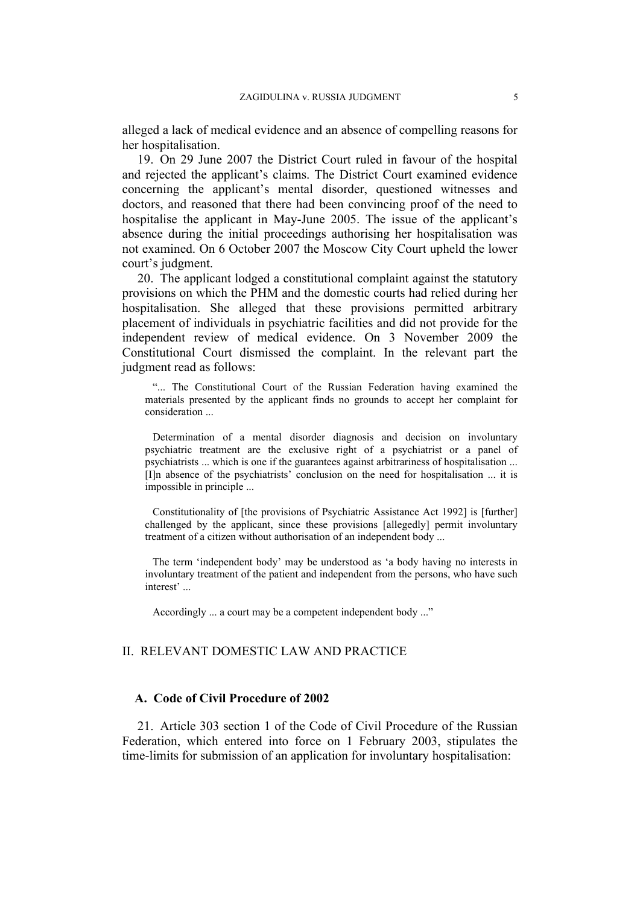alleged a lack of medical evidence and an absence of compelling reasons for her hospitalisation.

19. On 29 June 2007 the District Court ruled in favour of the hospital and rejected the applicant's claims. The District Court examined evidence concerning the applicant's mental disorder, questioned witnesses and doctors, and reasoned that there had been convincing proof of the need to hospitalise the applicant in May-June 2005. The issue of the applicant's absence during the initial proceedings authorising her hospitalisation was not examined. On 6 October 2007 the Moscow City Court upheld the lower court's judgment.

20. The applicant lodged a constitutional complaint against the statutory provisions on which the PHM and the domestic courts had relied during her hospitalisation. She alleged that these provisions permitted arbitrary placement of individuals in psychiatric facilities and did not provide for the independent review of medical evidence. On 3 November 2009 the Constitutional Court dismissed the complaint. In the relevant part the judgment read as follows:

"... The Constitutional Court of the Russian Federation having examined the materials presented by the applicant finds no grounds to accept her complaint for consideration ...

Determination of a mental disorder diagnosis and decision on involuntary psychiatric treatment are the exclusive right of a psychiatrist or a panel of psychiatrists ... which is one if the guarantees against arbitrariness of hospitalisation ... [I]n absence of the psychiatrists' conclusion on the need for hospitalisation ... it is impossible in principle ...

Constitutionality of [the provisions of Psychiatric Assistance Act 1992] is [further] challenged by the applicant, since these provisions [allegedly] permit involuntary treatment of a citizen without authorisation of an independent body ...

The term 'independent body' may be understood as 'a body having no interests in involuntary treatment of the patient and independent from the persons, who have such interest' ...

Accordingly ... a court may be a competent independent body ..."

# II. RELEVANT DOMESTIC LAW AND PRACTICE

# **A. Code of Civil Procedure of 2002**

21. Article 303 section 1 of the Code of Civil Procedure of the Russian Federation, which entered into force on 1 February 2003, stipulates the time-limits for submission of an application for involuntary hospitalisation: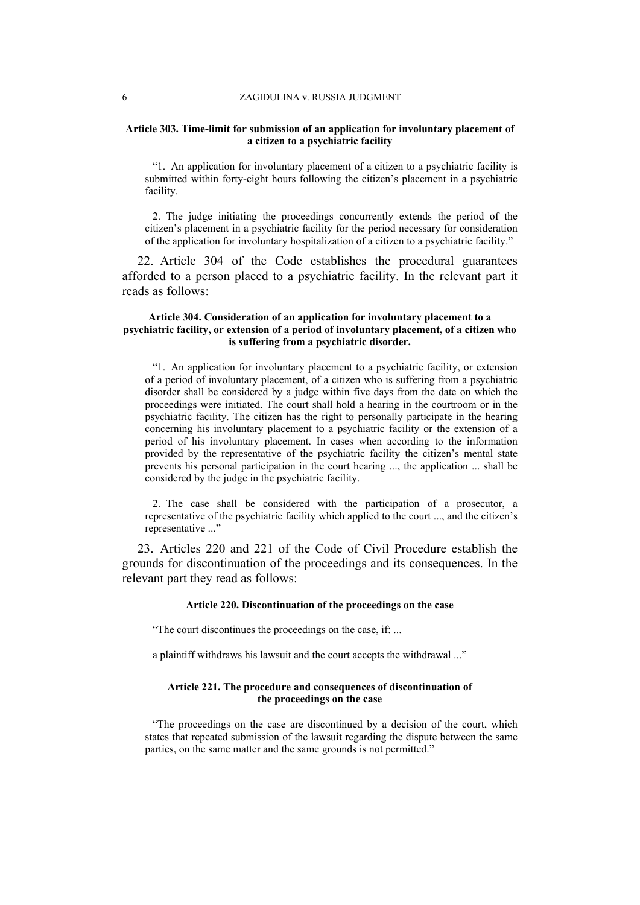#### **Article 303. Time-limit for submission of an application for involuntary placement of a citizen to a psychiatric facility**

"1. An application for involuntary placement of a citizen to a psychiatric facility is submitted within forty-eight hours following the citizen's placement in a psychiatric facility.

2. The judge initiating the proceedings concurrently extends the period of the citizen's placement in a psychiatric facility for the period necessary for consideration of the application for involuntary hospitalization of a citizen to a psychiatric facility."

22. Article 304 of the Code establishes the procedural guarantees afforded to a person placed to a psychiatric facility. In the relevant part it reads as follows:

#### **Article 304. Consideration of an application for involuntary placement to a psychiatric facility, or extension of a period of involuntary placement, of a citizen who is suffering from a psychiatric disorder.**

"1. An application for involuntary placement to a psychiatric facility, or extension of a period of involuntary placement, of a citizen who is suffering from a psychiatric disorder shall be considered by a judge within five days from the date on which the proceedings were initiated. The court shall hold a hearing in the courtroom or in the psychiatric facility. The citizen has the right to personally participate in the hearing concerning his involuntary placement to a psychiatric facility or the extension of a period of his involuntary placement. In cases when according to the information provided by the representative of the psychiatric facility the citizen's mental state prevents his personal participation in the court hearing ..., the application ... shall be considered by the judge in the psychiatric facility.

2. The case shall be considered with the participation of a prosecutor, a representative of the psychiatric facility which applied to the court ..., and the citizen's representative ..."

23. Articles 220 and 221 of the Code of Civil Procedure establish the grounds for discontinuation of the proceedings and its consequences. In the relevant part they read as follows:

#### **Article 220. Discontinuation of the proceedings on the case**

"The court discontinues the proceedings on the case, if: ...

a plaintiff withdraws his lawsuit and the court accepts the withdrawal ..."

#### **Article 221. The procedure and consequences of discontinuation of the proceedings on the case**

"The proceedings on the case are discontinued by a decision of the court, which states that repeated submission of the lawsuit regarding the dispute between the same parties, on the same matter and the same grounds is not permitted."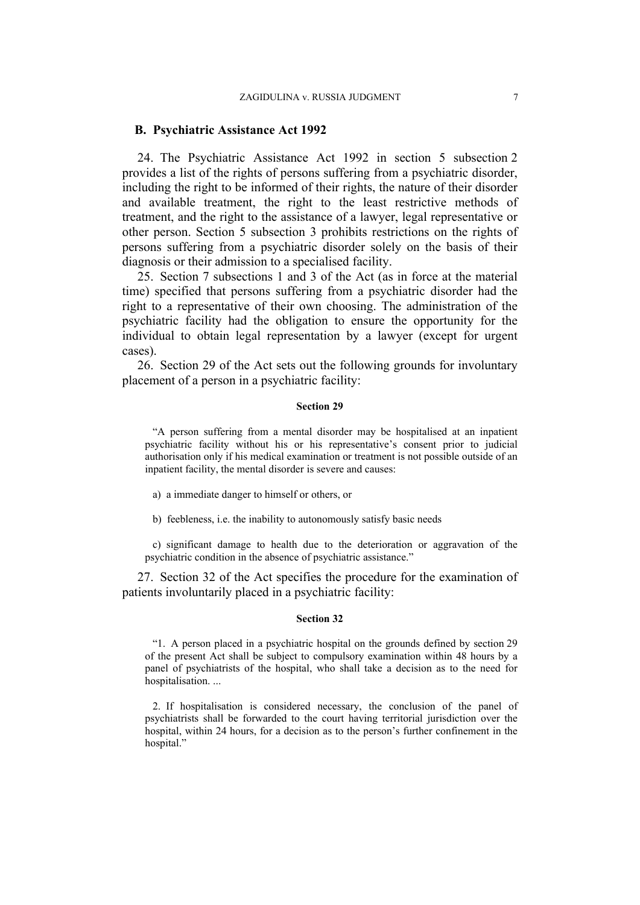### **B. Psychiatric Assistance Act 1992**

24. The Psychiatric Assistance Act 1992 in section 5 subsection 2 provides a list of the rights of persons suffering from a psychiatric disorder, including the right to be informed of their rights, the nature of their disorder and available treatment, the right to the least restrictive methods of treatment, and the right to the assistance of a lawyer, legal representative or other person. Section 5 subsection 3 prohibits restrictions on the rights of persons suffering from a psychiatric disorder solely on the basis of their diagnosis or their admission to a specialised facility.

25. Section 7 subsections 1 and 3 of the Act (as in force at the material time) specified that persons suffering from a psychiatric disorder had the right to a representative of their own choosing. The administration of the psychiatric facility had the obligation to ensure the opportunity for the individual to obtain legal representation by a lawyer (except for urgent cases).

26. Section 29 of the Act sets out the following grounds for involuntary placement of a person in a psychiatric facility:

#### **Section 29**

"A person suffering from a mental disorder may be hospitalised at an inpatient psychiatric facility without his or his representative's consent prior to judicial authorisation only if his medical examination or treatment is not possible outside of an inpatient facility, the mental disorder is severe and causes:

a) a immediate danger to himself or others, or

b) feebleness, i.e. the inability to autonomously satisfy basic needs

c) significant damage to health due to the deterioration or aggravation of the psychiatric condition in the absence of psychiatric assistance."

27. Section 32 of the Act specifies the procedure for the examination of patients involuntarily placed in a psychiatric facility:

#### **Section 32**

"1. A person placed in a psychiatric hospital on the grounds defined by section 29 of the present Act shall be subject to compulsory examination within 48 hours by a panel of psychiatrists of the hospital, who shall take a decision as to the need for hospitalisation. ...

2. If hospitalisation is considered necessary, the conclusion of the panel of psychiatrists shall be forwarded to the court having territorial jurisdiction over the hospital, within 24 hours, for a decision as to the person's further confinement in the hospital."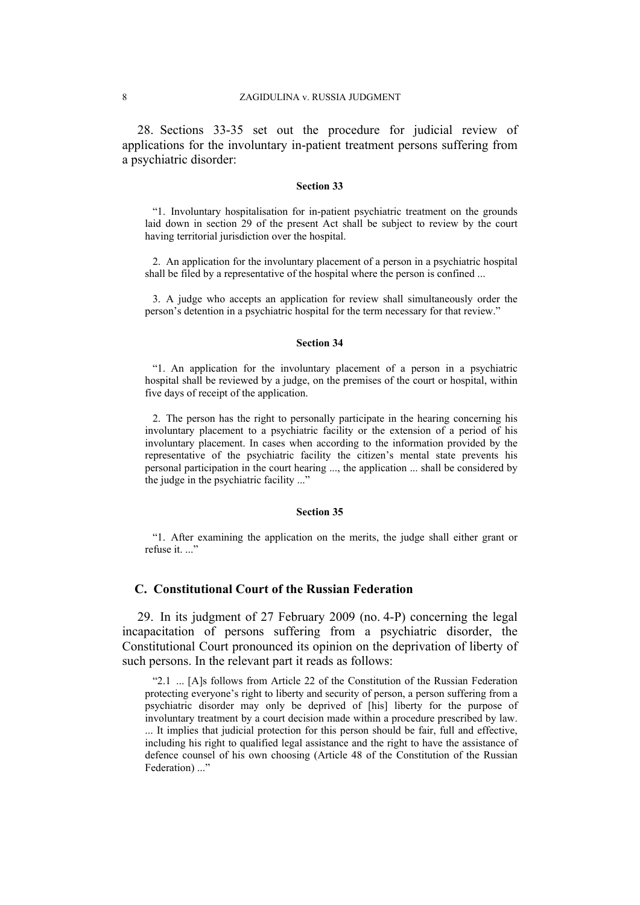28. Sections 33-35 set out the procedure for judicial review of applications for the involuntary in-patient treatment persons suffering from a psychiatric disorder:

#### **Section 33**

"1. Involuntary hospitalisation for in-patient psychiatric treatment on the grounds laid down in section 29 of the present Act shall be subject to review by the court having territorial jurisdiction over the hospital.

2. An application for the involuntary placement of a person in a psychiatric hospital shall be filed by a representative of the hospital where the person is confined ...

3. A judge who accepts an application for review shall simultaneously order the person's detention in a psychiatric hospital for the term necessary for that review."

#### **Section 34**

"1. An application for the involuntary placement of a person in a psychiatric hospital shall be reviewed by a judge, on the premises of the court or hospital, within five days of receipt of the application.

2. The person has the right to personally participate in the hearing concerning his involuntary placement to a psychiatric facility or the extension of a period of his involuntary placement. In cases when according to the information provided by the representative of the psychiatric facility the citizen's mental state prevents his personal participation in the court hearing ..., the application ... shall be considered by the judge in the psychiatric facility ..."

## **Section 35**

"1. After examining the application on the merits, the judge shall either grant or refuse it. ..."

## **C. Constitutional Court of the Russian Federation**

29. In its judgment of 27 February 2009 (no. 4-P) concerning the legal incapacitation of persons suffering from a psychiatric disorder, the Constitutional Court pronounced its opinion on the deprivation of liberty of such persons. In the relevant part it reads as follows:

"2.1 ... [A]s follows from Article 22 of the Constitution of the Russian Federation protecting everyone's right to liberty and security of person, a person suffering from a psychiatric disorder may only be deprived of [his] liberty for the purpose of involuntary treatment by a court decision made within a procedure prescribed by law. ... It implies that judicial protection for this person should be fair, full and effective, including his right to qualified legal assistance and the right to have the assistance of defence counsel of his own choosing (Article 48 of the Constitution of the Russian Federation) ..."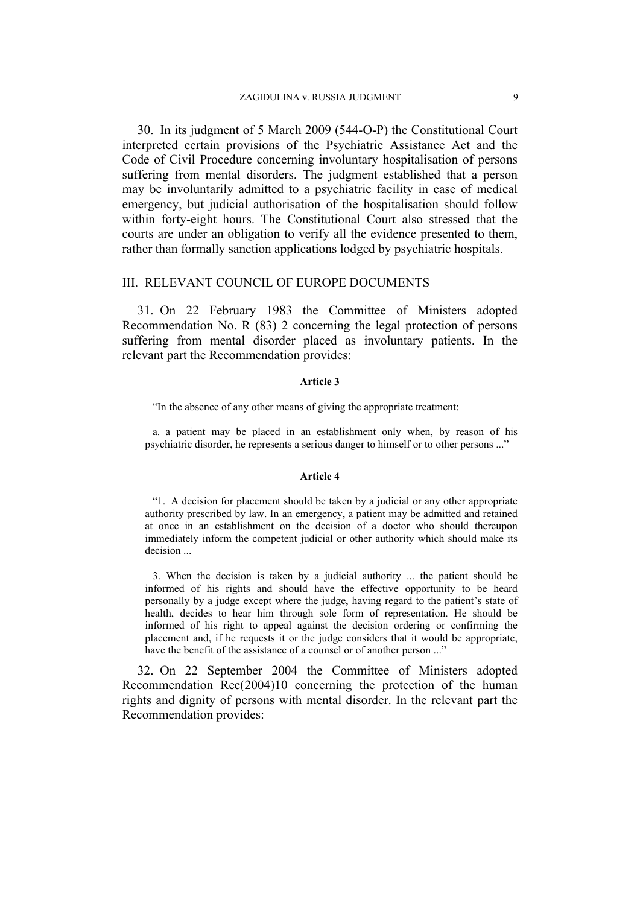30. In its judgment of 5 March 2009 (544-O-P) the Constitutional Court interpreted certain provisions of the Psychiatric Assistance Act and the Code of Civil Procedure concerning involuntary hospitalisation of persons suffering from mental disorders. The judgment established that a person may be involuntarily admitted to a psychiatric facility in case of medical emergency, but judicial authorisation of the hospitalisation should follow within forty-eight hours. The Constitutional Court also stressed that the courts are under an obligation to verify all the evidence presented to them, rather than formally sanction applications lodged by psychiatric hospitals.

# III. RELEVANT COUNCIL OF EUROPE DOCUMENTS

31. On 22 February 1983 the Committee of Ministers adopted Recommendation No. R (83) 2 concerning the legal protection of persons suffering from mental disorder placed as involuntary patients. In the relevant part the Recommendation provides:

#### **Article 3**

"In the absence of any other means of giving the appropriate treatment:

a. a patient may be placed in an establishment only when, by reason of his psychiatric disorder, he represents a serious danger to himself or to other persons ..."

#### **Article 4**

"1. A decision for placement should be taken by a judicial or any other appropriate authority prescribed by law. In an emergency, a patient may be admitted and retained at once in an establishment on the decision of a doctor who should thereupon immediately inform the competent judicial or other authority which should make its decision ...

3. When the decision is taken by a judicial authority ... the patient should be informed of his rights and should have the effective opportunity to be heard personally by a judge except where the judge, having regard to the patient's state of health, decides to hear him through sole form of representation. He should be informed of his right to appeal against the decision ordering or confirming the placement and, if he requests it or the judge considers that it would be appropriate, have the benefit of the assistance of a counsel or of another person ..."

32. On 22 September 2004 the Committee of Ministers adopted Recommendation Rec(2004)10 concerning the protection of the human rights and dignity of persons with mental disorder. In the relevant part the Recommendation provides: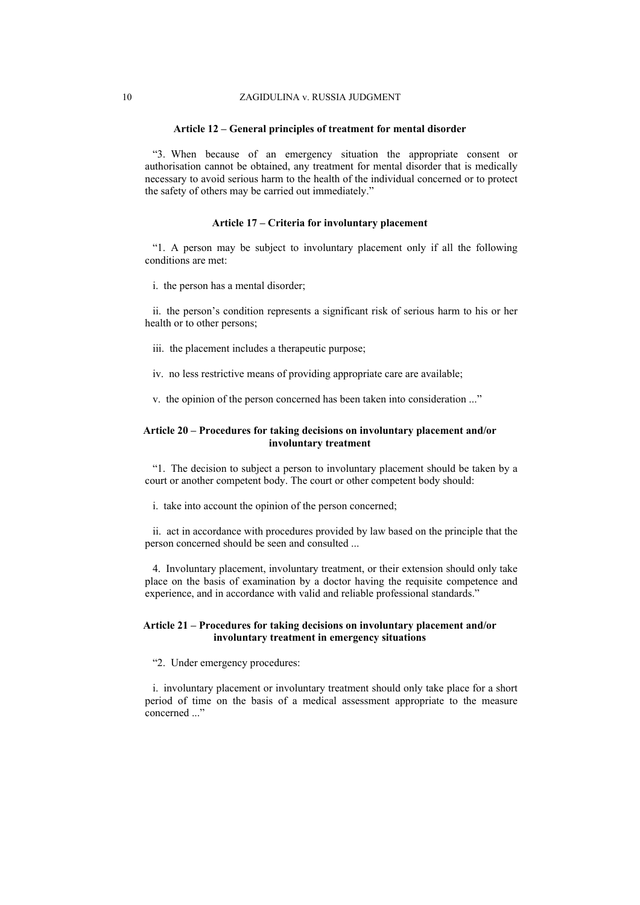#### **Article 12 – General principles of treatment for mental disorder**

"3. When because of an emergency situation the appropriate consent or authorisation cannot be obtained, any treatment for mental disorder that is medically necessary to avoid serious harm to the health of the individual concerned or to protect the safety of others may be carried out immediately."

#### **Article 17 – Criteria for involuntary placement**

"1. A person may be subject to involuntary placement only if all the following conditions are met:

i. the person has a mental disorder;

ii. the person's condition represents a significant risk of serious harm to his or her health or to other persons;

iii. the placement includes a therapeutic purpose;

iv. no less restrictive means of providing appropriate care are available;

v. the opinion of the person concerned has been taken into consideration ..."

#### **Article 20 – Procedures for taking decisions on involuntary placement and/or involuntary treatment**

"1. The decision to subject a person to involuntary placement should be taken by a court or another competent body. The court or other competent body should:

i. take into account the opinion of the person concerned;

ii. act in accordance with procedures provided by law based on the principle that the person concerned should be seen and consulted ...

4. Involuntary placement, involuntary treatment, or their extension should only take place on the basis of examination by a doctor having the requisite competence and experience, and in accordance with valid and reliable professional standards."

#### **Article 21 – Procedures for taking decisions on involuntary placement and/or involuntary treatment in emergency situations**

"2. Under emergency procedures:

i. involuntary placement or involuntary treatment should only take place for a short period of time on the basis of a medical assessment appropriate to the measure concerned ..."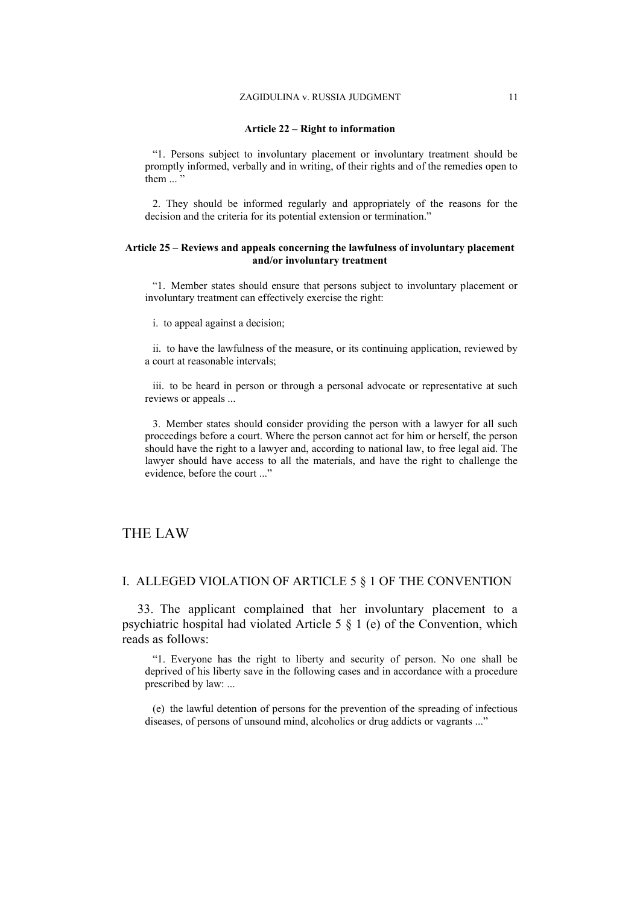#### **Article 22 – Right to information**

"1. Persons subject to involuntary placement or involuntary treatment should be promptly informed, verbally and in writing, of their rights and of the remedies open to them  $\ldots$ <sup>3</sup>

2. They should be informed regularly and appropriately of the reasons for the decision and the criteria for its potential extension or termination."

#### **Article 25 – Reviews and appeals concerning the lawfulness of involuntary placement and/or involuntary treatment**

"1. Member states should ensure that persons subject to involuntary placement or involuntary treatment can effectively exercise the right:

i. to appeal against a decision;

ii. to have the lawfulness of the measure, or its continuing application, reviewed by a court at reasonable intervals;

iii. to be heard in person or through a personal advocate or representative at such reviews or appeals ...

3. Member states should consider providing the person with a lawyer for all such proceedings before a court. Where the person cannot act for him or herself, the person should have the right to a lawyer and, according to national law, to free legal aid. The lawyer should have access to all the materials, and have the right to challenge the evidence, before the court ..."

# THE LAW

# I. ALLEGED VIOLATION OF ARTICLE 5 § 1 OF THE CONVENTION

33. The applicant complained that her involuntary placement to a psychiatric hospital had violated Article 5 § 1 (e) of the Convention, which reads as follows:

"1. Everyone has the right to liberty and security of person. No one shall be deprived of his liberty save in the following cases and in accordance with a procedure prescribed by law: ...

(e) the lawful detention of persons for the prevention of the spreading of infectious diseases, of persons of unsound mind, alcoholics or drug addicts or vagrants ..."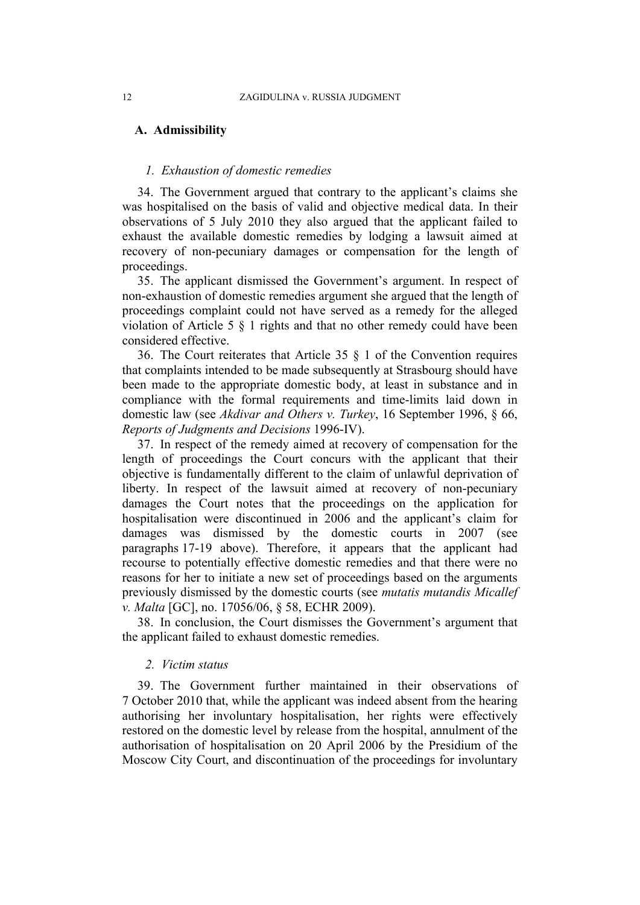# **A. Admissibility**

# *1. Exhaustion of domestic remedies*

34. The Government argued that contrary to the applicant's claims she was hospitalised on the basis of valid and objective medical data. In their observations of 5 July 2010 they also argued that the applicant failed to exhaust the available domestic remedies by lodging a lawsuit aimed at recovery of non-pecuniary damages or compensation for the length of proceedings.

35. The applicant dismissed the Government's argument. In respect of non-exhaustion of domestic remedies argument she argued that the length of proceedings complaint could not have served as a remedy for the alleged violation of Article 5 § 1 rights and that no other remedy could have been considered effective.

36. The Court reiterates that Article 35 § 1 of the Convention requires that complaints intended to be made subsequently at Strasbourg should have been made to the appropriate domestic body, at least in substance and in compliance with the formal requirements and time-limits laid down in domestic law (see *Akdivar and Others v. Turkey*, 16 September 1996, § 66, *Reports of Judgments and Decisions* 1996-IV).

37. In respect of the remedy aimed at recovery of compensation for the length of proceedings the Court concurs with the applicant that their objective is fundamentally different to the claim of unlawful deprivation of liberty. In respect of the lawsuit aimed at recovery of non-pecuniary damages the Court notes that the proceedings on the application for hospitalisation were discontinued in 2006 and the applicant's claim for damages was dismissed by the domestic courts in 2007 (see paragraphs 17-19 above). Therefore, it appears that the applicant had recourse to potentially effective domestic remedies and that there were no reasons for her to initiate a new set of proceedings based on the arguments previously dismissed by the domestic courts (see *mutatis mutandis Micallef v. Malta* [GC], no. 17056/06, § 58, ECHR 2009).

38. In conclusion, the Court dismisses the Government's argument that the applicant failed to exhaust domestic remedies.

# *2. Victim status*

39. The Government further maintained in their observations of 7 October 2010 that, while the applicant was indeed absent from the hearing authorising her involuntary hospitalisation, her rights were effectively restored on the domestic level by release from the hospital, annulment of the authorisation of hospitalisation on 20 April 2006 by the Presidium of the Moscow City Court, and discontinuation of the proceedings for involuntary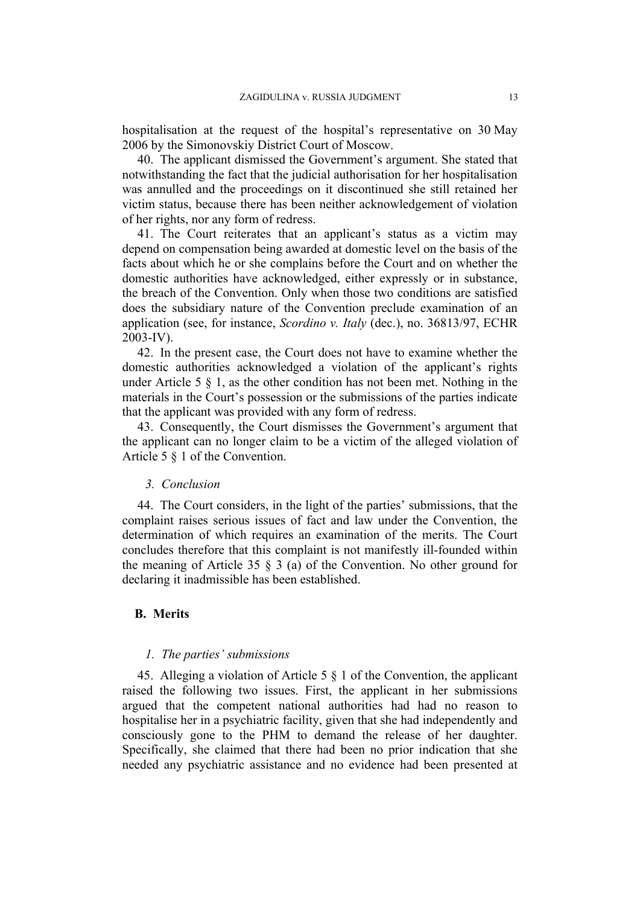hospitalisation at the request of the hospital's representative on 30 May 2006 by the Simonovskiy District Court of Moscow.

40. The applicant dismissed the Government's argument. She stated that notwithstanding the fact that the judicial authorisation for her hospitalisation was annulled and the proceedings on it discontinued she still retained her victim status, because there has been neither acknowledgement of violation of her rights, nor any form of redress.

41. The Court reiterates that an applicant's status as a victim may depend on compensation being awarded at domestic level on the basis of the facts about which he or she complains before the Court and on whether the domestic authorities have acknowledged, either expressly or in substance, the breach of the Convention. Only when those two conditions are satisfied does the subsidiary nature of the Convention preclude examination of an application (see, for instance, *Scordino v. Italy* (dec.), no. 36813/97, ECHR 2003-IV).

42. In the present case, the Court does not have to examine whether the domestic authorities acknowledged a violation of the applicant's rights under Article 5 § 1, as the other condition has not been met. Nothing in the materials in the Court's possession or the submissions of the parties indicate that the applicant was provided with any form of redress.

43. Consequently, the Court dismisses the Government's argument that the applicant can no longer claim to be a victim of the alleged violation of Article 5 § 1 of the Convention.

#### *3. Conclusion*

44. The Court considers, in the light of the parties' submissions, that the complaint raises serious issues of fact and law under the Convention, the determination of which requires an examination of the merits. The Court concludes therefore that this complaint is not manifestly ill-founded within the meaning of Article 35 § 3 (a) of the Convention. No other ground for declaring it inadmissible has been established.

# **B. Merits**

#### *1. The parties' submissions*

45. Alleging a violation of Article 5 § 1 of the Convention, the applicant raised the following two issues. First, the applicant in her submissions argued that the competent national authorities had had no reason to hospitalise her in a psychiatric facility, given that she had independently and consciously gone to the PHM to demand the release of her daughter. Specifically, she claimed that there had been no prior indication that she needed any psychiatric assistance and no evidence had been presented at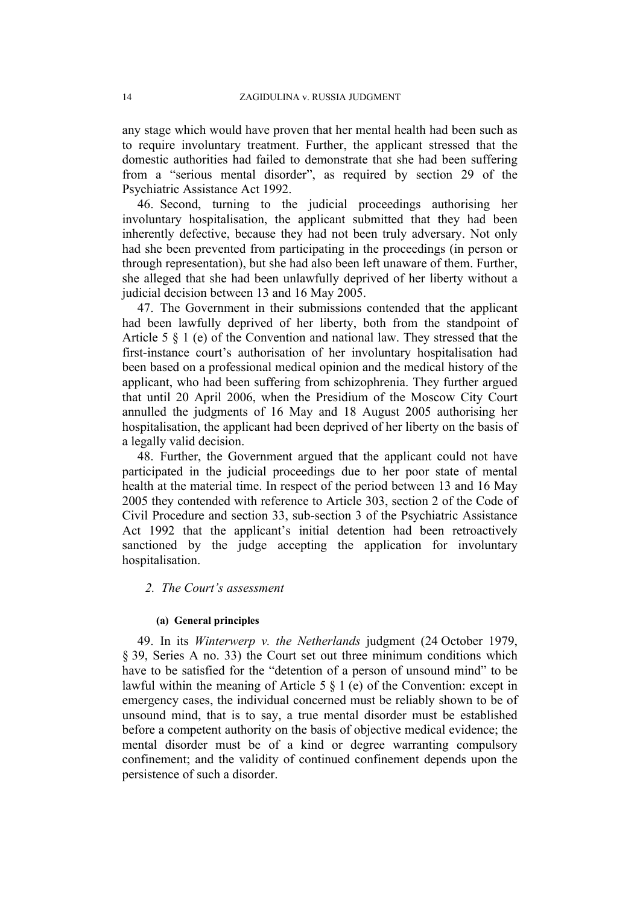any stage which would have proven that her mental health had been such as to require involuntary treatment. Further, the applicant stressed that the domestic authorities had failed to demonstrate that she had been suffering from a "serious mental disorder", as required by section 29 of the Psychiatric Assistance Act 1992.

46. Second, turning to the judicial proceedings authorising her involuntary hospitalisation, the applicant submitted that they had been inherently defective, because they had not been truly adversary. Not only had she been prevented from participating in the proceedings (in person or through representation), but she had also been left unaware of them. Further, she alleged that she had been unlawfully deprived of her liberty without a judicial decision between 13 and 16 May 2005.

47. The Government in their submissions contended that the applicant had been lawfully deprived of her liberty, both from the standpoint of Article 5 § 1 (e) of the Convention and national law. They stressed that the first-instance court's authorisation of her involuntary hospitalisation had been based on a professional medical opinion and the medical history of the applicant, who had been suffering from schizophrenia. They further argued that until 20 April 2006, when the Presidium of the Moscow City Court annulled the judgments of 16 May and 18 August 2005 authorising her hospitalisation, the applicant had been deprived of her liberty on the basis of a legally valid decision.

48. Further, the Government argued that the applicant could not have participated in the judicial proceedings due to her poor state of mental health at the material time. In respect of the period between 13 and 16 May 2005 they contended with reference to Article 303, section 2 of the Code of Civil Procedure and section 33, sub-section 3 of the Psychiatric Assistance Act 1992 that the applicant's initial detention had been retroactively sanctioned by the judge accepting the application for involuntary hospitalisation.

# *2. The Court's assessment*

#### **(a) General principles**

49. In its *Winterwerp v. the Netherlands* judgment (24 October 1979, § 39, Series A no. 33) the Court set out three minimum conditions which have to be satisfied for the "detention of a person of unsound mind" to be lawful within the meaning of Article 5 § 1 (e) of the Convention: except in emergency cases, the individual concerned must be reliably shown to be of unsound mind, that is to say, a true mental disorder must be established before a competent authority on the basis of objective medical evidence; the mental disorder must be of a kind or degree warranting compulsory confinement; and the validity of continued confinement depends upon the persistence of such a disorder.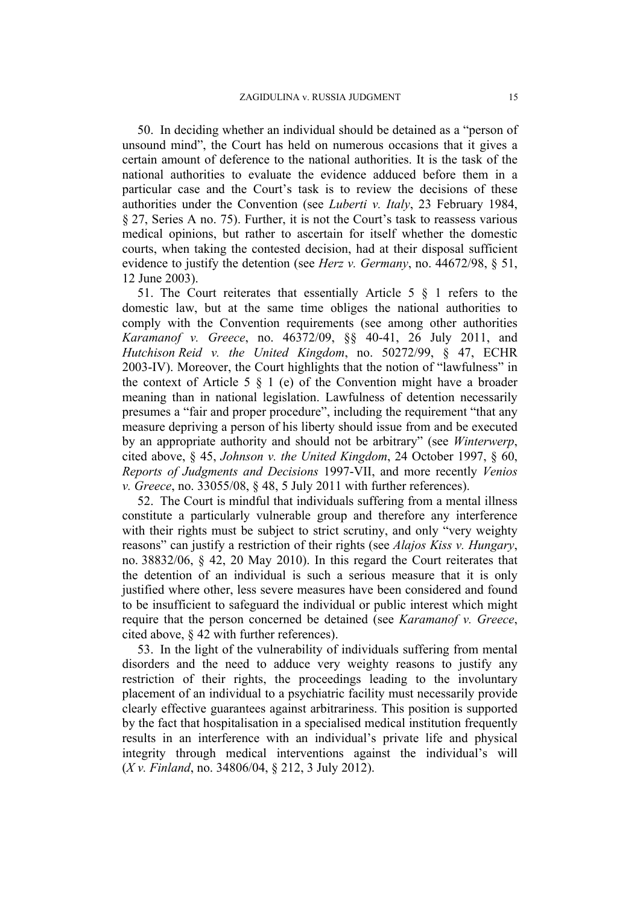50. In deciding whether an individual should be detained as a "person of unsound mind", the Court has held on numerous occasions that it gives a certain amount of deference to the national authorities. It is the task of the national authorities to evaluate the evidence adduced before them in a particular case and the Court's task is to review the decisions of these authorities under the Convention (see *Luberti v. Italy*, 23 February 1984, § 27, Series A no. 75). Further, it is not the Court's task to reassess various medical opinions, but rather to ascertain for itself whether the domestic courts, when taking the contested decision, had at their disposal sufficient evidence to justify the detention (see *Herz v. Germany*, no. 44672/98, § 51, 12 June 2003).

51. The Court reiterates that essentially Article 5 § 1 refers to the domestic law, but at the same time obliges the national authorities to comply with the Convention requirements (see among other authorities *Karamanof v. Greece*, no. 46372/09, §§ 40-41, 26 July 2011, and *Hutchison Reid v. the United Kingdom*, no. 50272/99, § 47, ECHR 2003-IV). Moreover, the Court highlights that the notion of "lawfulness" in the context of Article 5  $\S$  1 (e) of the Convention might have a broader meaning than in national legislation. Lawfulness of detention necessarily presumes a "fair and proper procedure", including the requirement "that any measure depriving a person of his liberty should issue from and be executed by an appropriate authority and should not be arbitrary" (see *Winterwerp*, cited above, § 45, *Johnson v. the United Kingdom*, 24 October 1997, § 60, *Reports of Judgments and Decisions* 1997-VII, and more recently *Venios v. Greece*, no. 33055/08, § 48, 5 July 2011 with further references).

52. The Court is mindful that individuals suffering from a mental illness constitute a particularly vulnerable group and therefore any interference with their rights must be subject to strict scrutiny, and only "very weighty reasons" can justify a restriction of their rights (see *Alajos Kiss v. Hungary*, no. 38832/06, § 42, 20 May 2010). In this regard the Court reiterates that the detention of an individual is such a serious measure that it is only justified where other, less severe measures have been considered and found to be insufficient to safeguard the individual or public interest which might require that the person concerned be detained (see *Karamanof v. Greece*, cited above, § 42 with further references).

53. In the light of the vulnerability of individuals suffering from mental disorders and the need to adduce very weighty reasons to justify any restriction of their rights, the proceedings leading to the involuntary placement of an individual to a psychiatric facility must necessarily provide clearly effective guarantees against arbitrariness. This position is supported by the fact that hospitalisation in a specialised medical institution frequently results in an interference with an individual's private life and physical integrity through medical interventions against the individual's will (*X v. Finland*, no. 34806/04, § 212, 3 July 2012).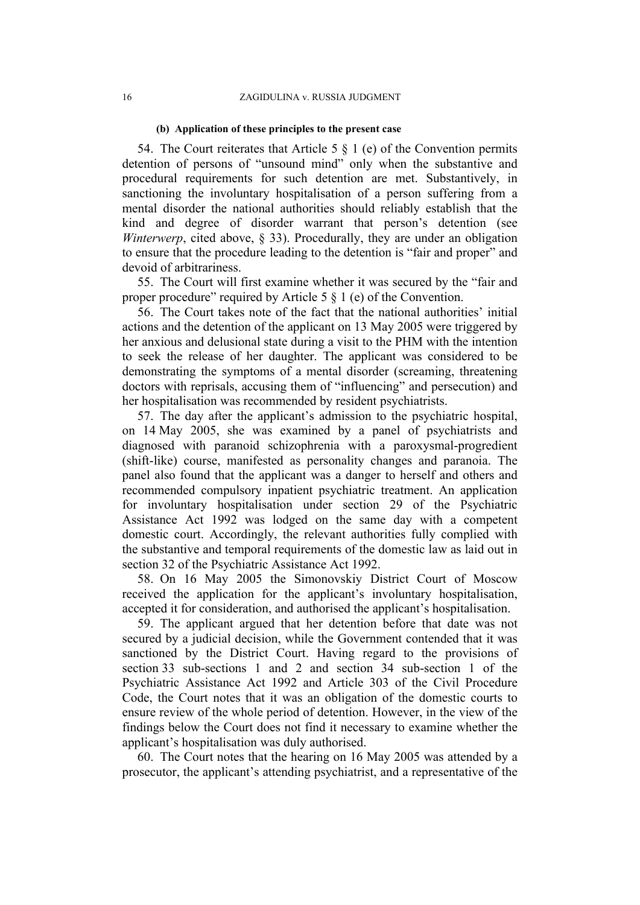#### **(b) Application of these principles to the present case**

54. The Court reiterates that Article 5  $\S$  1 (e) of the Convention permits detention of persons of "unsound mind" only when the substantive and procedural requirements for such detention are met. Substantively, in sanctioning the involuntary hospitalisation of a person suffering from a mental disorder the national authorities should reliably establish that the kind and degree of disorder warrant that person's detention (see *Winterwerp*, cited above, § 33). Procedurally, they are under an obligation to ensure that the procedure leading to the detention is "fair and proper" and devoid of arbitrariness.

55. The Court will first examine whether it was secured by the "fair and proper procedure" required by Article 5 § 1 (e) of the Convention.

56. The Court takes note of the fact that the national authorities' initial actions and the detention of the applicant on 13 May 2005 were triggered by her anxious and delusional state during a visit to the PHM with the intention to seek the release of her daughter. The applicant was considered to be demonstrating the symptoms of a mental disorder (screaming, threatening doctors with reprisals, accusing them of "influencing" and persecution) and her hospitalisation was recommended by resident psychiatrists.

57. The day after the applicant's admission to the psychiatric hospital, on 14 May 2005, she was examined by a panel of psychiatrists and diagnosed with paranoid schizophrenia with a paroxysmal-progredient (shift-like) course, manifested as personality changes and paranoia. The panel also found that the applicant was a danger to herself and others and recommended compulsory inpatient psychiatric treatment. An application for involuntary hospitalisation under section 29 of the Psychiatric Assistance Act 1992 was lodged on the same day with a competent domestic court. Accordingly, the relevant authorities fully complied with the substantive and temporal requirements of the domestic law as laid out in section 32 of the Psychiatric Assistance Act 1992.

58. On 16 May 2005 the Simonovskiy District Court of Moscow received the application for the applicant's involuntary hospitalisation, accepted it for consideration, and authorised the applicant's hospitalisation.

59. The applicant argued that her detention before that date was not secured by a judicial decision, while the Government contended that it was sanctioned by the District Court. Having regard to the provisions of section 33 sub-sections 1 and 2 and section 34 sub-section 1 of the Psychiatric Assistance Act 1992 and Article 303 of the Civil Procedure Code, the Court notes that it was an obligation of the domestic courts to ensure review of the whole period of detention. However, in the view of the findings below the Court does not find it necessary to examine whether the applicant's hospitalisation was duly authorised.

60. The Court notes that the hearing on 16 May 2005 was attended by a prosecutor, the applicant's attending psychiatrist, and a representative of the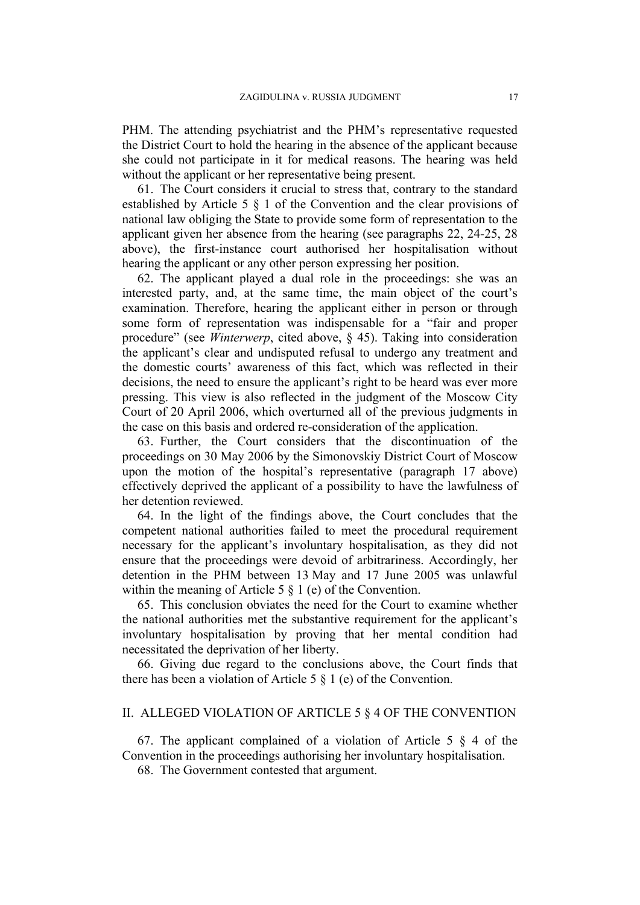PHM. The attending psychiatrist and the PHM's representative requested the District Court to hold the hearing in the absence of the applicant because she could not participate in it for medical reasons. The hearing was held without the applicant or her representative being present.

61. The Court considers it crucial to stress that, contrary to the standard established by Article 5 § 1 of the Convention and the clear provisions of national law obliging the State to provide some form of representation to the applicant given her absence from the hearing (see paragraphs 22, 24-25, 28 above), the first-instance court authorised her hospitalisation without hearing the applicant or any other person expressing her position.

62. The applicant played a dual role in the proceedings: she was an interested party, and, at the same time, the main object of the court's examination. Therefore, hearing the applicant either in person or through some form of representation was indispensable for a "fair and proper procedure" (see *Winterwerp*, cited above, § 45). Taking into consideration the applicant's clear and undisputed refusal to undergo any treatment and the domestic courts' awareness of this fact, which was reflected in their decisions, the need to ensure the applicant's right to be heard was ever more pressing. This view is also reflected in the judgment of the Moscow City Court of 20 April 2006, which overturned all of the previous judgments in the case on this basis and ordered re-consideration of the application.

63. Further, the Court considers that the discontinuation of the proceedings on 30 May 2006 by the Simonovskiy District Court of Moscow upon the motion of the hospital's representative (paragraph 17 above) effectively deprived the applicant of a possibility to have the lawfulness of her detention reviewed.

64. In the light of the findings above, the Court concludes that the competent national authorities failed to meet the procedural requirement necessary for the applicant's involuntary hospitalisation, as they did not ensure that the proceedings were devoid of arbitrariness. Accordingly, her detention in the PHM between 13 May and 17 June 2005 was unlawful within the meaning of Article 5  $\S$  1 (e) of the Convention.

65. This conclusion obviates the need for the Court to examine whether the national authorities met the substantive requirement for the applicant's involuntary hospitalisation by proving that her mental condition had necessitated the deprivation of her liberty.

66. Giving due regard to the conclusions above, the Court finds that there has been a violation of Article 5 § 1 (e) of the Convention.

# II. ALLEGED VIOLATION OF ARTICLE 5 § 4 OF THE CONVENTION

67. The applicant complained of a violation of Article 5  $\S$  4 of the Convention in the proceedings authorising her involuntary hospitalisation.

68. The Government contested that argument.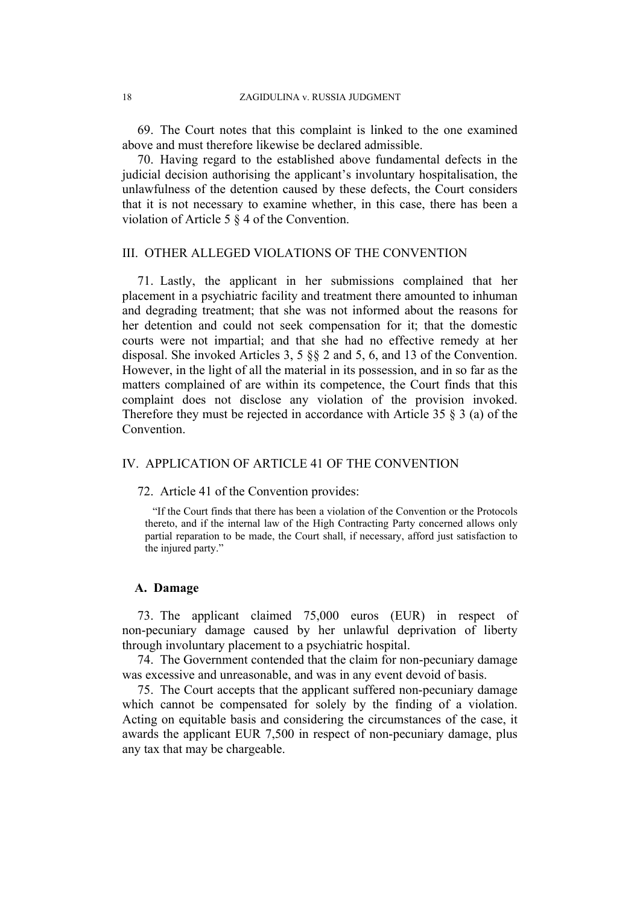69. The Court notes that this complaint is linked to the one examined above and must therefore likewise be declared admissible.

70. Having regard to the established above fundamental defects in the judicial decision authorising the applicant's involuntary hospitalisation, the unlawfulness of the detention caused by these defects, the Court considers that it is not necessary to examine whether, in this case, there has been a violation of Article 5 § 4 of the Convention.

# III. OTHER ALLEGED VIOLATIONS OF THE CONVENTION

71. Lastly, the applicant in her submissions complained that her placement in a psychiatric facility and treatment there amounted to inhuman and degrading treatment; that she was not informed about the reasons for her detention and could not seek compensation for it; that the domestic courts were not impartial; and that she had no effective remedy at her disposal. She invoked Articles 3, 5 §§ 2 and 5, 6, and 13 of the Convention. However, in the light of all the material in its possession, and in so far as the matters complained of are within its competence, the Court finds that this complaint does not disclose any violation of the provision invoked. Therefore they must be rejected in accordance with Article 35 § 3 (a) of the **Convention** 

# IV. APPLICATION OF ARTICLE 41 OF THE CONVENTION

### 72. Article 41 of the Convention provides:

"If the Court finds that there has been a violation of the Convention or the Protocols thereto, and if the internal law of the High Contracting Party concerned allows only partial reparation to be made, the Court shall, if necessary, afford just satisfaction to the injured party."

## **A. Damage**

73. The applicant claimed 75,000 euros (EUR) in respect of non-pecuniary damage caused by her unlawful deprivation of liberty through involuntary placement to a psychiatric hospital.

74. The Government contended that the claim for non-pecuniary damage was excessive and unreasonable, and was in any event devoid of basis.

75. The Court accepts that the applicant suffered non-pecuniary damage which cannot be compensated for solely by the finding of a violation. Acting on equitable basis and considering the circumstances of the case, it awards the applicant EUR 7,500 in respect of non-pecuniary damage, plus any tax that may be chargeable.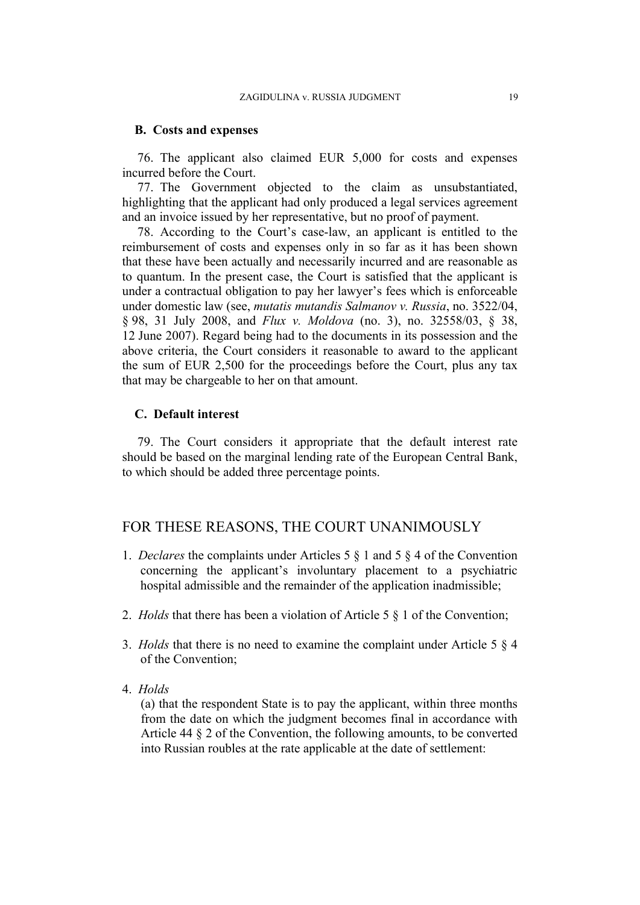#### **B. Costs and expenses**

76. The applicant also claimed EUR 5,000 for costs and expenses incurred before the Court.

77. The Government objected to the claim as unsubstantiated, highlighting that the applicant had only produced a legal services agreement and an invoice issued by her representative, but no proof of payment.

78. According to the Court's case-law, an applicant is entitled to the reimbursement of costs and expenses only in so far as it has been shown that these have been actually and necessarily incurred and are reasonable as to quantum. In the present case, the Court is satisfied that the applicant is under a contractual obligation to pay her lawyer's fees which is enforceable under domestic law (see, *mutatis mutandis Salmanov v. Russia*, no. 3522/04, § 98, 31 July 2008, and *Flux v. Moldova* (no. 3), no. 32558/03, § 38, 12 June 2007). Regard being had to the documents in its possession and the above criteria, the Court considers it reasonable to award to the applicant the sum of EUR 2,500 for the proceedings before the Court, plus any tax that may be chargeable to her on that amount.

# **C. Default interest**

79. The Court considers it appropriate that the default interest rate should be based on the marginal lending rate of the European Central Bank, to which should be added three percentage points.

# FOR THESE REASONS, THE COURT UNANIMOUSLY

- 1. *Declares* the complaints under Articles 5 § 1 and 5 § 4 of the Convention concerning the applicant's involuntary placement to a psychiatric hospital admissible and the remainder of the application inadmissible:
- 2. *Holds* that there has been a violation of Article 5 § 1 of the Convention;
- 3. *Holds* that there is no need to examine the complaint under Article 5 § 4 of the Convention;
- 4. *Holds*

(a) that the respondent State is to pay the applicant, within three months from the date on which the judgment becomes final in accordance with Article 44 § 2 of the Convention, the following amounts, to be converted into Russian roubles at the rate applicable at the date of settlement: